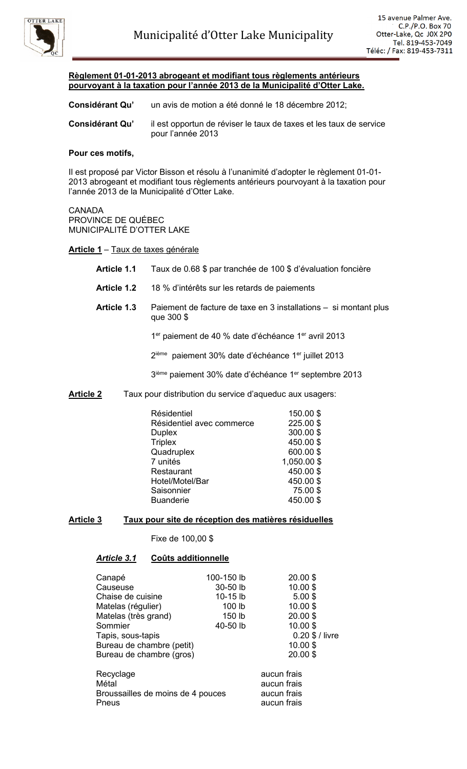

# **Règlement 01-01-2013 abrogeant et modifiant tous règlements antérieurs pourvoyant à la taxation pour l'année 2013 de la Municipalité d'Otter Lake.**

**Considérant Qu'** un avis de motion a été donné le 18 décembre 2012;

**Considérant Qu'** il est opportun de réviser le taux de taxes et les taux de service pour l'année 2013

#### **Pour ces motifs,**

Il est proposé par Victor Bisson et résolu à l'unanimité d'adopter le règlement 01-01- 2013 abrogeant et modifiant tous règlements antérieurs pourvoyant à la taxation pour l'année 2013 de la Municipalité d'Otter Lake.

#### **CANADA**

PROVINCE DE QUÉBEC MUNICIPALITÉ D'OTTER LAKE

# **Article 1** – Taux de taxes générale

- **Article 1.1** Taux de 0.68 \$ par tranchée de 100 \$ d'évaluation foncière
- **Article 1.2** 18 % d'intérêts sur les retards de paiements
- **Article 1.3** Paiement de facture de taxe en 3 installations si montant plus que 300 \$

1<sup>er</sup> paiement de 40 % date d'échéance 1<sup>er</sup> avril 2013

2ième paiement 30% date d'échéance 1<sup>er</sup> juillet 2013

3<sup>ième</sup> paiement 30% date d'échéance 1<sup>er</sup> septembre 2013

**Article 2** Taux pour distribution du service d'aqueduc aux usagers:

| Résidentiel<br>Résidentiel avec commerce | 150.00\$<br>225.00 \$ |
|------------------------------------------|-----------------------|
| <b>Duplex</b><br><b>Triplex</b>          | 300.00\$<br>450.00\$  |
| Quadruplex                               | 600.00\$              |
| 7 unités                                 | 1,050.00 \$           |
| Restaurant                               | 450.00\$              |
| Hotel/Motel/Bar                          | 450.00\$              |
| Saisonnier                               | 75.00\$               |
| <b>Buanderie</b>                         | 450.00\$              |

# **Article 3 Taux pour site de réception des matières résiduelles**

Fixe de 100,00 \$

# *Article 3.1* **Coûts additionnelle**

| Canapé                                                           | 100-150 lb        | 20.00 \$                                                 |
|------------------------------------------------------------------|-------------------|----------------------------------------------------------|
| Causeuse                                                         | 30-50 lb          | 10.00\$                                                  |
| Chaise de cuisine                                                | 10-15 lb          | $5.00$ \$                                                |
| Matelas (régulier)                                               | 100 lb            | 10.00\$                                                  |
| Matelas (très grand)                                             | 150 <sub>lb</sub> | 20.00 \$                                                 |
| Sommier                                                          | 40-50 lb          | 10.00\$                                                  |
| Tapis, sous-tapis                                                |                   | $0.20$ \$ / livre                                        |
| Bureau de chambre (petit)                                        |                   | 10.00\$                                                  |
| Bureau de chambre (gros)                                         |                   | 20.00 \$                                                 |
| Recyclage<br>Métal<br>Broussailles de moins de 4 pouces<br>Pneus |                   | aucun frais<br>aucun frais<br>aucun frais<br>aucun frais |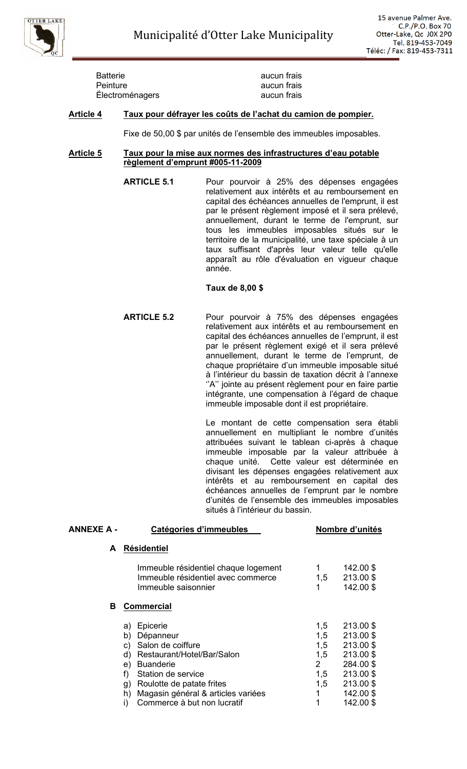

| <b>Batterie</b> | aucun frais |
|-----------------|-------------|
| <b>Peinture</b> | aucun frais |
| Électroménagers | aucun frais |

#### **Article 4 Taux pour défrayer les coûts de l'achat du camion de pompier.**

Fixe de 50,00 \$ par unités de l'ensemble des immeubles imposables.

# **Article 5 Taux pour la mise aux normes des infrastructures d'eau potable règlement d'emprunt #005-11-2009**

**ARTICLE 5.1** Pour pourvoir à 25% des dépenses engagées relativement aux intérêts et au remboursement en capital des échéances annuelles de l'emprunt, il est par le présent règlement imposé et il sera prélevé, annuellement, durant le terme de l'emprunt, sur tous les immeubles imposables situés sur le territoire de la municipalité, une taxe spéciale à un taux suffisant d'après leur valeur telle qu'elle apparaît au rôle d'évaluation en vigueur chaque année.

#### **Taux de 8,00 \$**

**ARTICLE 5.2** Pour pourvoir à 75% des dépenses engagées relativement aux intérêts et au remboursement en capital des échéances annuelles de l'emprunt, il est par le présent règlement exigé et il sera prélevé annuellement, durant le terme de l'emprunt, de chaque propriétaire d'un immeuble imposable situé à l'intérieur du bassin de taxation décrit à l'annexe ''A'' jointe au présent règlement pour en faire partie intégrante, une compensation à l'égard de chaque immeuble imposable dont il est propriétaire.

> Le montant de cette compensation sera établi annuellement en multipliant le nombre d'unités attribuées suivant le tablean ci-après à chaque immeuble imposable par la valeur attribuée à chaque unité. Cette valeur est déterminée en divisant les dépenses engagées relativement aux intérêts et au remboursement en capital des échéances annuelles de l'emprunt par le nombre d'unités de l'ensemble des immeubles imposables situés à l'intérieur du bassin.

| ANNEXE A - | Catégories d'immeubles                                                                                                                                                                    |                                                          | Nombre d'unités                                                                         |  |
|------------|-------------------------------------------------------------------------------------------------------------------------------------------------------------------------------------------|----------------------------------------------------------|-----------------------------------------------------------------------------------------|--|
| A          | <b>Résidentiel</b>                                                                                                                                                                        |                                                          |                                                                                         |  |
|            | Immeuble résidentiel chaque logement<br>Immeuble résidentiel avec commerce<br>Immeuble saisonnier                                                                                         | 1,5                                                      | 142.00 \$<br>213.00 \$<br>142.00 \$                                                     |  |
| В          | <b>Commercial</b>                                                                                                                                                                         |                                                          |                                                                                         |  |
|            | Epicerie<br>a)<br>b)<br>Dépanneur<br>Salon de coiffure<br>C)<br>Restaurant/Hotel/Bar/Salon<br>d)<br><b>Buanderie</b><br>e)<br>f)<br>Station de service<br>Roulotte de patate frites<br>g) | 1,5<br>1,5<br>1,5<br>1,5<br>$\overline{2}$<br>1,5<br>1,5 | 213.00 \$<br>213.00 \$<br>213.00 \$<br>213.00 \$<br>284.00 \$<br>213.00 \$<br>213.00 \$ |  |
|            | Magasin général & articles variées<br>h)<br>Commerce à but non lucratif<br>$\mathbf{I}$                                                                                                   | 1<br>1                                                   | 142.00 \$<br>142.00\$                                                                   |  |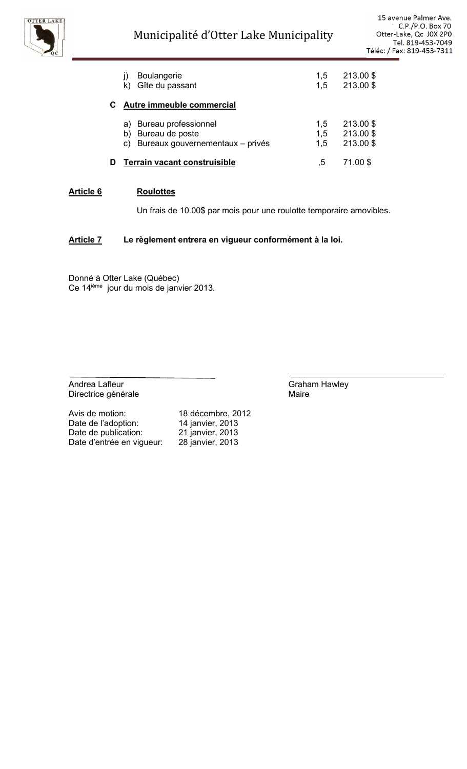

|   | <b>Boulangerie</b><br>Gîte du passant                                             | 1,5<br>1.5        | 213.00 \$<br>213.00 \$            |
|---|-----------------------------------------------------------------------------------|-------------------|-----------------------------------|
| C | Autre immeuble commercial                                                         |                   |                                   |
|   | Bureau professionnel<br>a)<br>Bureau de poste<br>Bureaux gouvernementaux - privés | 1,5<br>1,5<br>1,5 | 213.00 \$<br>213.00\$<br>213.00\$ |
|   | Terrain vacant construisible                                                      | 5                 | 71.00 \$                          |

#### **Article 6 Roulottes**

Un frais de 10.00\$ par mois pour une roulotte temporaire amovibles.

# **Article 7 Le règlement entrera en vigueur conformément à la loi.**

Donné à Otter Lake (Québec) Ce 14<sup>ième</sup> jour du mois de janvier 2013.

Andrea Lafleur **Andrea Lafleur** Graham Hawley Directrice générale **Maire** Maire

Avis de motion: 18 décembre, 2012<br>Date de l'adoption: 14 janvier, 2013 Date de l'adoption: Date de publication: 21 janvier, 2013<br>Date d'entrée en vigueur: 28 janvier, 2013 Date d'entrée en vigueur: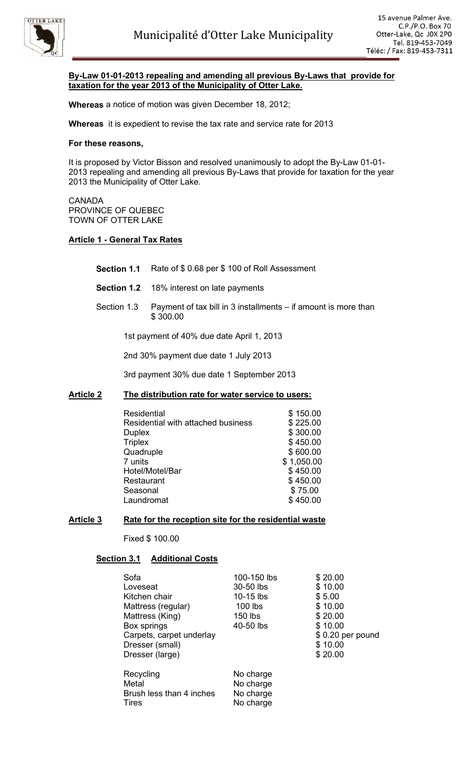

# **By-Law 01-01-2013 repealing and amending all previous By-Laws that provide for taxation for the year 2013 of the Municipality of Otter Lake.**

**Whereas** a notice of motion was given December 18, 2012;

**Whereas** it is expedient to revise the tax rate and service rate for 2013

#### **For these reasons,**

It is proposed by Victor Bisson and resolved unanimously to adopt the By-Law 01-01- 2013 repealing and amending all previous By-Laws that provide for taxation for the year 2013 the Municipality of Otter Lake.

CANADA PROVINCE OF QUEBEC TOWN OF OTTER LAKE

#### **Article 1 - General Tax Rates**

- **Section 1.1** Rate of \$ 0.68 per \$ 100 of Roll Assessment
- **Section 1.2** 18% interest on late payments
- Section 1.3 Payment of tax bill in 3 installments if amount is more than \$ 300.00

1st payment of 40% due date April 1, 2013

2nd 30% payment due date 1 July 2013

3rd payment 30% due date 1 September 2013

#### **Article 2 The distribution rate for water service to users:**

| Residential                        | \$150.00   |
|------------------------------------|------------|
| Residential with attached business | \$225.00   |
| <b>Duplex</b>                      | \$300.00   |
| <b>Triplex</b>                     | \$450.00   |
| Quadruple                          | \$600.00   |
| 7 units                            | \$1,050.00 |
| Hotel/Motel/Bar                    | \$450.00   |
| Restaurant                         | \$450.00   |
| Seasonal                           | \$75.00    |
| Laundromat                         | \$450.00   |

#### **Article 3 Rate for the reception site for the residential waste**

Fixed \$ 100.00

#### **Section 3.1 Additional Costs**

| Sofa<br>Loveseat<br>Kitchen chair<br>Mattress (regular)<br>Mattress (King)<br>Box springs<br>Carpets, carpet underlay<br>Dresser (small)<br>Dresser (large) | 100-150 lbs<br>30-50 lbs<br>10-15 lbs<br>$100$ lbs<br>150 lbs<br>40-50 lbs | \$20.00<br>\$10.00<br>\$5.00<br>\$10.00<br>\$20.00<br>\$10.00<br>$$0.20$ per pound<br>\$10.00<br>\$20.00 |
|-------------------------------------------------------------------------------------------------------------------------------------------------------------|----------------------------------------------------------------------------|----------------------------------------------------------------------------------------------------------|
| Recycling<br>Metal<br>Brush less than 4 inches<br><b>Tires</b>                                                                                              | No charge<br>No charge<br>No charge<br>No charge                           |                                                                                                          |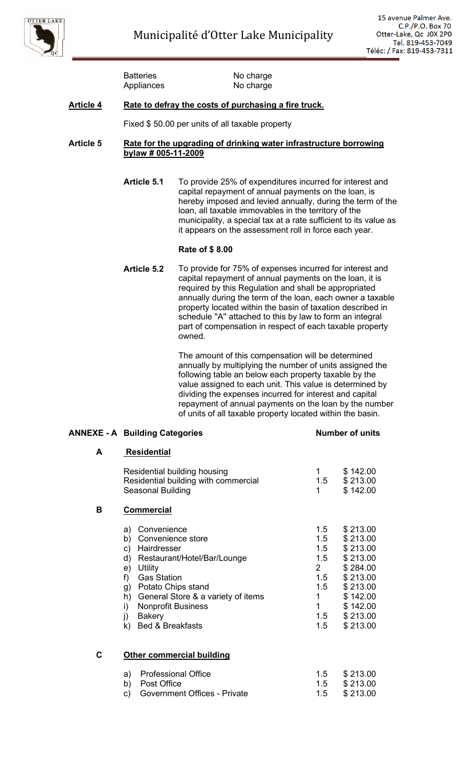

Batteries No charge Appliances No charge

# **Article 4 Rate to defray the costs of purchasing a fire truck.**

Fixed \$ 50.00 per units of all taxable property

#### **Article 5 Rate for the upgrading of drinking water infrastructure borrowing bylaw # 005-11-2009**

**Article 5.1** To provide 25% of expenditures incurred for interest and capital repayment of annual payments on the loan, is hereby imposed and levied annually, during the term of the loan, all taxable immovables in the territory of the municipality, a special tax at a rate sufficient to its value as it appears on the assessment roll in force each year.

# **Rate of \$ 8.00**

**Article 5.2** To provide for 75% of expenses incurred for interest and capital repayment of annual payments on the loan, it is required by this Regulation and shall be appropriated annually during the term of the loan, each owner a taxable property located within the basin of taxation described in schedule ''A'' attached to this by law to form an integral part of compensation in respect of each taxable property owned.

> The amount of this compensation will be determined annually by multiplying the number of units assigned the following table an below each property taxable by the value assigned to each unit. This value is determined by dividing the expenses incurred for interest and capital repayment of annual payments on the loan by the number of units of all taxable property located within the basin.

#### **ANNEXE - A Building Categories Number of units**

# **A Residential**

|   | Residential building housing<br>Residential building with commercial<br>Seasonal Building                                                                                                                                                                                                                       | 1.5<br>1                                                                      | \$142.00<br>\$213.00<br>\$142.00                                                                                                 |
|---|-----------------------------------------------------------------------------------------------------------------------------------------------------------------------------------------------------------------------------------------------------------------------------------------------------------------|-------------------------------------------------------------------------------|----------------------------------------------------------------------------------------------------------------------------------|
| в | <b>Commercial</b>                                                                                                                                                                                                                                                                                               |                                                                               |                                                                                                                                  |
|   | Convenience<br>a)<br>Convenience store<br>b)<br>Hairdresser<br>C)<br>Restaurant/Hotel/Bar/Lounge<br>d)<br>Utility<br>e)<br><b>Gas Station</b><br>f)<br>Potato Chips stand<br>g)<br>General Store & a variety of items<br>h)<br>i)<br><b>Nonprofit Business</b><br>j)<br><b>Bakery</b><br>Bed & Breakfasts<br>k) | 1.5<br>1.5<br>1.5<br>1.5<br>$2^{\circ}$<br>1.5<br>1.5<br>1<br>1<br>1.5<br>1.5 | \$213.00<br>\$213.00<br>\$213.00<br>\$213.00<br>\$284.00<br>\$213.00<br>\$213.00<br>\$142.00<br>\$142.00<br>\$213.00<br>\$213.00 |
| С | <b>Other commercial building</b>                                                                                                                                                                                                                                                                                |                                                                               |                                                                                                                                  |
|   | <b>Professional Office</b><br>a)                                                                                                                                                                                                                                                                                | 1.5                                                                           | \$213.00                                                                                                                         |

b) Post Office 1.5 \$ 213.00 c) Government Offices - Private 1.5 \$ 213.00